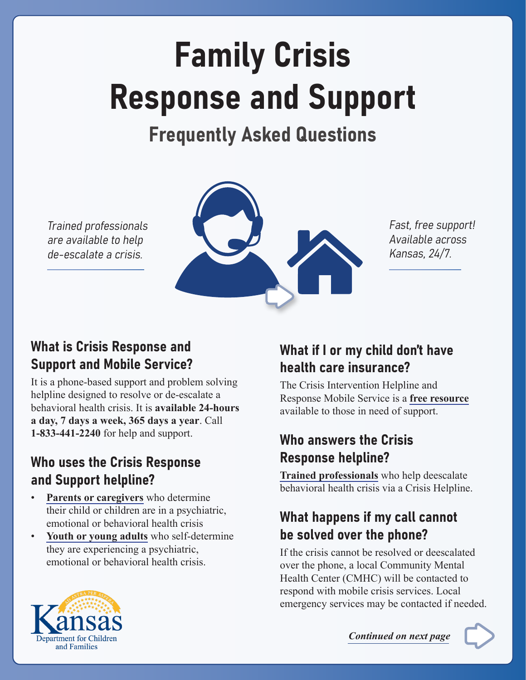# Family Crisis Response and Support

# Frequently Asked Questions

Trained professionals are available to help de-escalate a crisis.



Fast, free support! Available across Kansas, 24/7.

#### What is Crisis Response and Support and Mobile Service?

It is a phone-based support and problem solving helpline designed to resolve or de-escalate a behavioral health crisis. It is **available 24-hours a day, 7 days a week, 365 days a year**. Call **1-833-441-2240** for help and support.

#### Who uses the Crisis Response and Support helpline?

- **Parents or caregivers** who determine their child or children are in a psychiatric, emotional or behavioral health crisis
- Youth or young adults who self-determine they are experiencing a psychiatric, emotional or behavioral health crisis.

# What if I or my child don't have health care insurance?

The Crisis Intervention Helpline and Response Mobile Service is a **free resource** available to those in need of support.

#### Who answers the Crisis Response helpline?

**Trained professionals** who help deescalate behavioral health crisis via a Crisis Helpline.

# What happens if my call cannot be solved over the phone?

If the crisis cannot be resolved or deescalated over the phone, a local Community Mental Health Center (CMHC) will be contacted to respond with mobile crisis services. Local emergency services may be contacted if needed.